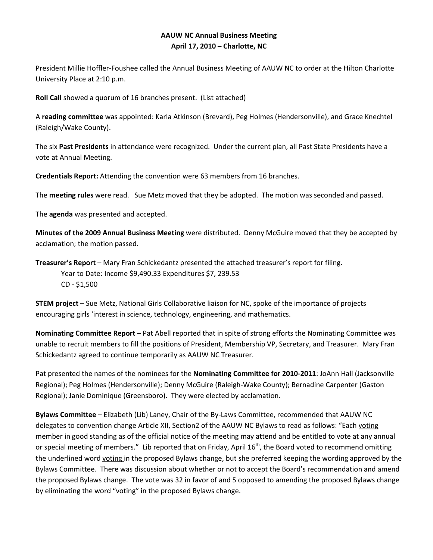## **AAUW NC Annual Business Meeting April 17, 2010 – Charlotte, NC**

President Millie Hoffler-Foushee called the Annual Business Meeting of AAUW NC to order at the Hilton Charlotte University Place at 2:10 p.m.

**Roll Call** showed a quorum of 16 branches present. (List attached)

A **reading committee** was appointed: Karla Atkinson (Brevard), Peg Holmes (Hendersonville), and Grace Knechtel (Raleigh/Wake County).

The six **Past Presidents** in attendance were recognized. Under the current plan, all Past State Presidents have a vote at Annual Meeting.

**Credentials Report:** Attending the convention were 63 members from 16 branches.

The **meeting rules** were read. Sue Metz moved that they be adopted. The motion was seconded and passed.

The **agenda** was presented and accepted.

**Minutes of the 2009 Annual Business Meeting** were distributed. Denny McGuire moved that they be accepted by acclamation; the motion passed.

**Treasurer's Report** – Mary Fran Schickedantz presented the attached treasurer's report for filing. Year to Date: Income \$9,490.33 Expenditures \$7, 239.53 CD - \$1,500

**STEM project** – Sue Metz, National Girls Collaborative liaison for NC, spoke of the importance of projects encouraging girls 'interest in science, technology, engineering, and mathematics.

**Nominating Committee Report** – Pat Abell reported that in spite of strong efforts the Nominating Committee was unable to recruit members to fill the positions of President, Membership VP, Secretary, and Treasurer. Mary Fran Schickedantz agreed to continue temporarily as AAUW NC Treasurer.

Pat presented the names of the nominees for the **Nominating Committee for 2010-2011**: JoAnn Hall (Jacksonville Regional); Peg Holmes (Hendersonville); Denny McGuire (Raleigh-Wake County); Bernadine Carpenter (Gaston Regional); Janie Dominique (Greensboro). They were elected by acclamation.

**Bylaws Committee** – Elizabeth (Lib) Laney, Chair of the By-Laws Committee, recommended that AAUW NC delegates to convention change Article XII, Section2 of the AAUW NC Bylaws to read as follows: "Each voting member in good standing as of the official notice of the meeting may attend and be entitled to vote at any annual or special meeting of members." Lib reported that on Friday, April  $16<sup>th</sup>$ , the Board voted to recommend omitting the underlined word voting in the proposed Bylaws change, but she preferred keeping the wording approved by the Bylaws Committee. There was discussion about whether or not to accept the Board's recommendation and amend the proposed Bylaws change. The vote was 32 in favor of and 5 opposed to amending the proposed Bylaws change by eliminating the word "voting" in the proposed Bylaws change.